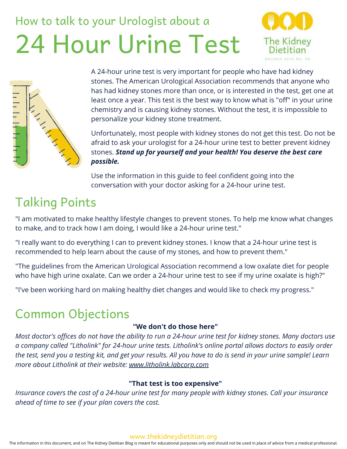# How to talk to your Urologist about a 24 Hour Urine Test





A 24-hour urine test is very important for people who have had kidney stones. The American Urological Association recommends that anyone who has had kidney stones more than once, or is interested in the test, get one at least once a year. This test is the best way to know what is "off" in your urine chemistry and is causing kidney stones. Without the test, it is impossible to personalize your kidney stone treatment.

Unfortunately, most people with kidney stones do not get this test. Do not be afraid to ask your urologist for a 24-hour urine test to better prevent kidney stones. *Stand up for yourself and your health! You deserve the best care possible.*

Use the information in this guide to feel confident going into the conversation with your doctor asking for a 24-hour urine test.

# Talking Points

"I am motivated to make healthy lifestyle changes to prevent stones. To help me know what changes to make, and to track how I am doing, I would like a 24-hour urine test."

"I really want to do everything I can to prevent kidney stones. I know that a 24-hour urine test is recommended to help learn about the cause of my stones, and how to prevent them."

"The guidelines from the American Urological Association recommend a low oxalate diet for people who have high urine oxalate. Can we order a 24-hour urine test to see if my urine oxalate is high?"

"I've been working hard on making healthy diet changes and would like to check my progress."

## Common Objections

#### **"We don't do those here"**

*Most doctor's offices do not have the ability to run a 24-hour urine test for kidney stones. Many doctors use a company called "Litholink" for 24-hour urine tests. Litholink's online portal allows doctors to easily order the test, send you a testing kit, and get your results. All you have to do is send in your urine sample! Learn more about Litholink at their website: [www.litholink.labcorp.com](https://litholink.labcorp.com/)*

#### **"That test is too expensive"**

*Insurance covers the cost of a 24-hour urine test for many people with kidney stones. Call your insurance ahead of time to see if your plan covers the cost.*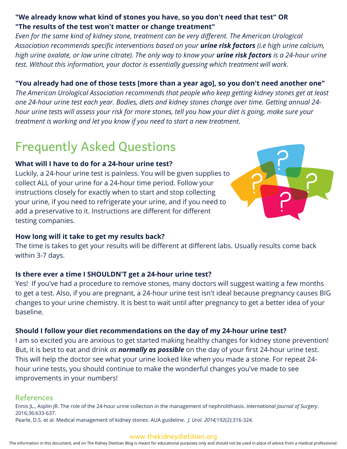### **"We already know what kind of stones you have, so you don't need that test" OR "The results of the test won't matter or change treatment"**

*Even for the same kind of kidney stone, treatment can be very different. The American Urological Association recommends specific interventions based on your urine risk factors (i.e high urine calcium, high urine oxalate, or low urine citrate). The only way to know your urine risk factors is a 24-hour urine test. Without this information, your doctor is essentially guessing which treatment will work.*

#### **"You already had one of those tests [more than a year ago], so you don't need another one"**

*The American Urological Association recommends that people who keep getting kidney stones get at least one 24-hour urine test each year. Bodies, diets and kidney stones change over time. Getting annual 24 hour urine tests will assess your risk for more stones, tell you how your diet is going, make sure your treatment is working and let you know if you need to start a new treatment.*

# Frequently Asked Questions

#### **What will I have to do for a 24-hour urine test?**

Luckily, a 24-hour urine test is painless. You will be given supplies to collect ALL of your urine for a 24-hour time period. Follow your instructions closely for exactly when to start and stop collecting your urine, if you need to refrigerate your urine, and if you need to add a preservative to it. Instructions are different for different testing companies.



#### **How long will it take to get my results back?**

The time is takes to get your results will be different at different labs. Usually results come back within 3-7 days.

#### **Is there ever a time I SHOULDN'T get a 24-hour urine test?**

Yes! If you've had a procedure to remove stones, many doctors will suggest waiting a few months to get a test. Also, if you are pregnant, a 24-hour urine test isn't ideal because pregnancy causes BIG changes to your urine chemistry. It is best to wait until after pregnancy to get a better idea of your baseline.

#### **Should I follow your diet recommendations on the day of my 24-hour urine test?**

I am so excited you are anxious to get started making healthy changes for kidney stone prevention! But, it is best to eat and drink *as normally as possible* on the day of your first 24-hour urine test. This will help the doctor see what your urine looked like when you made a stone. For repeat 24 hour urine tests, you should continue to make the wonderful changes you've made to see improvements in your numbers!

#### References

Ennis JL., Asplin JR. The role of the 24-hour urine collection in the management of nephrolithiasis. *International Journal of Surgery*. 2016;36:633-637.

Pearle, D.S. et al. Medical management of kidney stones: AUA guideline. *J. Urol. 2014;*192(2):316-324.

#### www.thekidneydietitian.org

The information in this document, and on The Kidney Dietitian Blog is meant for educational purposes only and should not be used in place of advice from a medical professional.